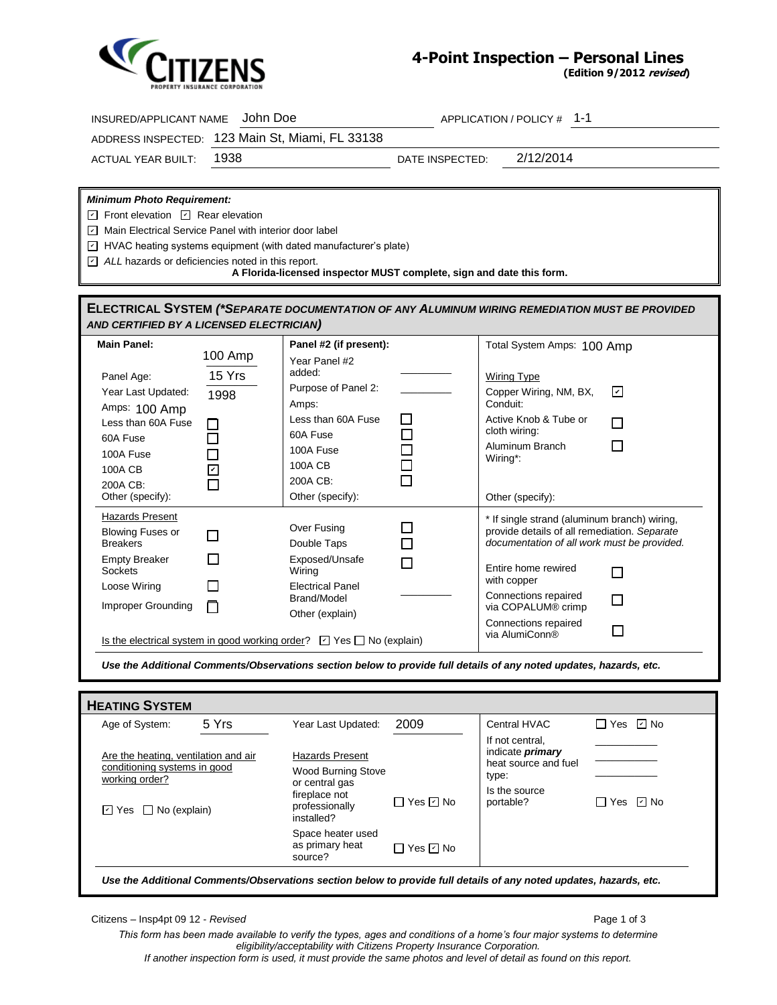

## **4-Point Inspection – Personal Lines**

**(Edition 9/2012 revised)**

| John Doe<br>APPLICATION / POLICY # 1-1<br>INSURED/APPLICANT NAME                                                                                                                                                                                                                             |                                                                                                                                                                     |                                                                                                          |                 |                                                                                                                                             |                        |  |  |
|----------------------------------------------------------------------------------------------------------------------------------------------------------------------------------------------------------------------------------------------------------------------------------------------|---------------------------------------------------------------------------------------------------------------------------------------------------------------------|----------------------------------------------------------------------------------------------------------|-----------------|---------------------------------------------------------------------------------------------------------------------------------------------|------------------------|--|--|
| ADDRESS INSPECTED: 123 Main St, Miami, FL 33138                                                                                                                                                                                                                                              |                                                                                                                                                                     |                                                                                                          |                 |                                                                                                                                             |                        |  |  |
| <b>ACTUAL YEAR BUILT:</b>                                                                                                                                                                                                                                                                    | 1938                                                                                                                                                                |                                                                                                          | DATE INSPECTED: | 2/12/2014                                                                                                                                   |                        |  |  |
|                                                                                                                                                                                                                                                                                              |                                                                                                                                                                     |                                                                                                          |                 |                                                                                                                                             |                        |  |  |
| <b>Minimum Photo Requirement:</b><br>$\boxed{1}$ Front elevation $\boxed{1}$ Rear elevation<br>Main Electrical Service Panel with interior door label<br>$\Box$ HVAC heating systems equipment (with dated manufacturer's plate)<br>$\Box$ ALL hazards or deficiencies noted in this report. |                                                                                                                                                                     | A Florida-licensed inspector MUST complete, sign and date this form.                                     |                 |                                                                                                                                             |                        |  |  |
| <b>ELECTRICAL SYSTEM (*SEPARATE DOCUMENTATION OF ANY ALUMINUM WIRING REMEDIATION MUST BE PROVIDED</b><br>AND CERTIFIED BY A LICENSED ELECTRICIAN)                                                                                                                                            |                                                                                                                                                                     |                                                                                                          |                 |                                                                                                                                             |                        |  |  |
| <b>Main Panel:</b>                                                                                                                                                                                                                                                                           | 100 Amp                                                                                                                                                             | Panel #2 (if present):<br>Year Panel #2                                                                  |                 | Total System Amps: 100 Amp                                                                                                                  |                        |  |  |
| Panel Age:<br>Year Last Updated:<br>Amps: 100 Amp                                                                                                                                                                                                                                            | 15 Yrs<br>1998                                                                                                                                                      | added:<br>Purpose of Panel 2:<br>Amps:                                                                   |                 | <b>Wiring Type</b><br>Copper Wiring, NM, BX,<br>Conduit:                                                                                    | ☑                      |  |  |
| Less than 60A Fuse<br>60A Fuse<br>100A Fuse                                                                                                                                                                                                                                                  | U<br>$\overline{\phantom{0}}$                                                                                                                                       | Less than 60A Fuse<br>60A Fuse<br>100A Fuse                                                              | ப<br>$\Box$     | Active Knob & Tube or<br>cloth wiring:<br>Aluminum Branch                                                                                   | $\mathbf{I}$<br>$\Box$ |  |  |
| 100A CB<br>200A CB:<br>Other (specify):                                                                                                                                                                                                                                                      | $\overline{\phantom{0}}$                                                                                                                                            | 100A CB<br>200A CB:<br>Other (specify):                                                                  |                 | Wiring*:<br>Other (specify):                                                                                                                |                        |  |  |
| Hazards Present<br><b>Blowing Fuses or</b><br><b>Breakers</b>                                                                                                                                                                                                                                | П                                                                                                                                                                   | Over Fusing<br>Double Taps                                                                               | П               | * If single strand (aluminum branch) wiring,<br>provide details of all remediation. Separate<br>documentation of all work must be provided. |                        |  |  |
| <b>Empty Breaker</b><br><b>Sockets</b>                                                                                                                                                                                                                                                       | $\mathsf{L}$                                                                                                                                                        | Exposed/Unsafe<br>Wiring                                                                                 | П               | Entire home rewired<br>with copper                                                                                                          | П                      |  |  |
| Loose Wiring<br>Improper Grounding                                                                                                                                                                                                                                                           | $\Box$<br>П                                                                                                                                                         | <b>Electrical Panel</b><br><b>Brand/Model</b><br>Other (explain)                                         |                 | Connections repaired<br>via COPALUM® crimp                                                                                                  | П                      |  |  |
|                                                                                                                                                                                                                                                                                              | Connections repaired<br>$\mathcal{L}_{\mathcal{A}}$<br>via AlumiConn <sup>®</sup><br>Is the electrical system in good working order? $\Box$ Yes $\Box$ No (explain) |                                                                                                          |                 |                                                                                                                                             |                        |  |  |
|                                                                                                                                                                                                                                                                                              |                                                                                                                                                                     |                                                                                                          |                 | Use the Additional Comments/Observations section below to provide full details of any noted updates, hazards, etc.                          |                        |  |  |
| <b>HEATING SYSTEM</b>                                                                                                                                                                                                                                                                        |                                                                                                                                                                     |                                                                                                          |                 |                                                                                                                                             |                        |  |  |
| Age of System:                                                                                                                                                                                                                                                                               | 5 Yrs                                                                                                                                                               | Year Last Updated:                                                                                       | 2009            | Central HVAC<br>If not central.                                                                                                             | □ Yes ☑ No             |  |  |
| Are the heating, ventilation and air<br>conditioning systems in good<br>working order?<br>$\Box$ No (explain)<br>i⊿ Yes                                                                                                                                                                      |                                                                                                                                                                     | <b>Hazards Present</b><br><b>Wood Burning Stove</b><br>or central gas<br>fireplace not<br>professionally | □ Yes ☑ No      | indicate <i>primary</i><br>heat source and fuel<br>type:<br>Is the source<br>portable?                                                      | □ Yes ☑ No             |  |  |
|                                                                                                                                                                                                                                                                                              |                                                                                                                                                                     | installed?<br>Space heater used<br>as primary heat<br>source?                                            | □ Yes ☑ No      |                                                                                                                                             |                        |  |  |
| Use the Additional Comments/Observations section below to provide full details of any noted updates, hazards, etc.                                                                                                                                                                           |                                                                                                                                                                     |                                                                                                          |                 |                                                                                                                                             |                        |  |  |
| Citizens - Insp4pt 09 12 - Revised                                                                                                                                                                                                                                                           |                                                                                                                                                                     |                                                                                                          |                 |                                                                                                                                             | Page 1 of 3            |  |  |

*This form has been made available to verify the types, ages and conditions of a home's four major systems to determine eligibility/acceptability with Citizens Property Insurance Corporation. If another inspection form is used, it must provide the same photos and level of detail as found on this report.*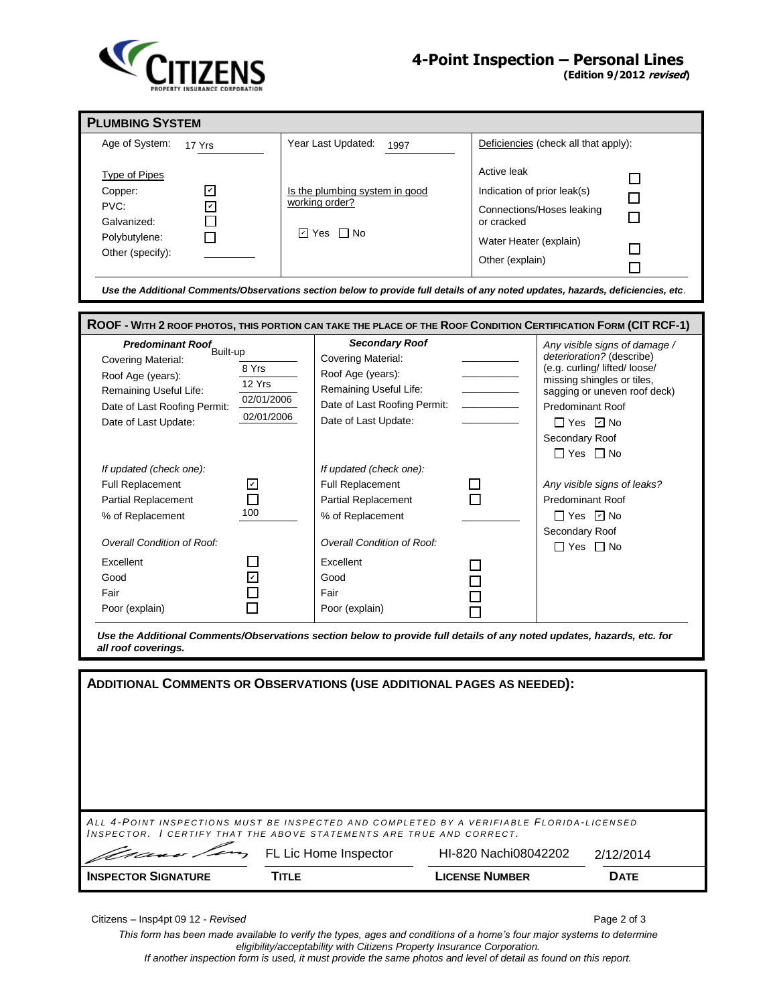

**(Edition 9/2012 revised)**

| <b>PLUMBING SYSTEM</b>                                                                                                                                                                                                                                                   |                                                                                                                                                    |                                                                                                                                    |                                                                                                                                                                                                                                                        |  |  |  |  |  |
|--------------------------------------------------------------------------------------------------------------------------------------------------------------------------------------------------------------------------------------------------------------------------|----------------------------------------------------------------------------------------------------------------------------------------------------|------------------------------------------------------------------------------------------------------------------------------------|--------------------------------------------------------------------------------------------------------------------------------------------------------------------------------------------------------------------------------------------------------|--|--|--|--|--|
| Age of System:<br>17 Yrs                                                                                                                                                                                                                                                 | Year Last Updated:<br>1997                                                                                                                         |                                                                                                                                    | Deficiencies (check all that apply):                                                                                                                                                                                                                   |  |  |  |  |  |
| <b>Type of Pipes</b><br>Copper:<br>$\vert\mathbf{v}\vert$<br>$\mathbf v$<br>PVC:<br>Galvanized:<br>Polybutylene:<br>Other (specify):<br>Use the Additional Comments/Observations section below to provide full details of any noted updates, hazards, deficiencies, etc. | Is the plumbing system in good<br>working order?<br>नि Yes । ∏ No                                                                                  | Active leak<br>Indication of prior leak(s)<br>Connections/Hoses leaking<br>or cracked<br>Water Heater (explain)<br>Other (explain) |                                                                                                                                                                                                                                                        |  |  |  |  |  |
| ROOF - WITH 2 ROOF PHOTOS, THIS PORTION CAN TAKE THE PLACE OF THE ROOF CONDITION CERTIFICATION FORM (CIT RCF-1)                                                                                                                                                          |                                                                                                                                                    |                                                                                                                                    |                                                                                                                                                                                                                                                        |  |  |  |  |  |
| <b>Predominant Roof</b> Built-up<br>Covering Material:<br>8 Yrs<br>Roof Age (years):<br>12 Yrs<br>Remaining Useful Life:<br>02/01/2006<br>Date of Last Roofing Permit:<br>02/01/2006<br>Date of Last Update:                                                             | <b>Secondary Roof</b><br>Covering Material:<br>Roof Age (years):<br>Remaining Useful Life:<br>Date of Last Roofing Permit:<br>Date of Last Update: |                                                                                                                                    | Any visible signs of damage /<br>deterioration? (describe)<br>(e.g. curling/ lifted/ loose/<br>missing shingles or tiles,<br>sagging or uneven roof deck)<br><b>Predominant Roof</b><br>$\Box$ Yes $\Box$ No<br>Secondary Roof<br>$\Box$ Yes $\Box$ No |  |  |  |  |  |
| If updated (check one):<br>Full Replacement<br>$ \mathcal{V} $<br><b>Partial Replacement</b><br>100<br>% of Replacement<br><b>Overall Condition of Roof:</b>                                                                                                             | If updated (check one):<br><b>Full Replacement</b><br><b>Partial Replacement</b><br>% of Replacement<br>Overall Condition of Roof:                 |                                                                                                                                    | Any visible signs of leaks?<br><b>Predominant Roof</b><br>$\Box$ Yes $\Box$ No<br>Secondary Roof                                                                                                                                                       |  |  |  |  |  |
| Excellent<br>Good<br>Fair<br>Poor (explain)                                                                                                                                                                                                                              | Excellent<br>Good<br>Fair<br>Poor (explain)                                                                                                        |                                                                                                                                    | $\Box$ Yes $\Box$ No                                                                                                                                                                                                                                   |  |  |  |  |  |
| Use the Additional Comments/Observations section below to provide full details of any noted updates, hazards, etc. for<br>all roof coverings.                                                                                                                            |                                                                                                                                                    |                                                                                                                                    |                                                                                                                                                                                                                                                        |  |  |  |  |  |
| <b>ADDITIONAL COMMENTS OR OBSERVATIONS (USE ADDITIONAL PAGES AS NEEDED):</b>                                                                                                                                                                                             |                                                                                                                                                    |                                                                                                                                    |                                                                                                                                                                                                                                                        |  |  |  |  |  |
| ALL 4-POINT INSPECTIONS MUST BE INSPECTED AND COMPLETED BY A VERIFIABLE FLORIDA-LICENSED<br>INSPECTOR. I CERTIFY THAT THE ABOVE STATEMENTS ARE TRUE AND CORRECT.                                                                                                         |                                                                                                                                                    |                                                                                                                                    |                                                                                                                                                                                                                                                        |  |  |  |  |  |
|                                                                                                                                                                                                                                                                          | FL Lic Home Inspector                                                                                                                              | HI-820 Nachi08042202                                                                                                               | 2/12/2014                                                                                                                                                                                                                                              |  |  |  |  |  |
| <b>INSPECTOR SIGNATURE</b>                                                                                                                                                                                                                                               | <b>TITLE</b>                                                                                                                                       | <b>LICENSE NUMBER</b>                                                                                                              | <b>DATE</b>                                                                                                                                                                                                                                            |  |  |  |  |  |

Citizens – Insp4pt 09 12 - *Revised* Page 2 of 3

*This form has been made available to verify the types, ages and conditions of a home's four major systems to determine eligibility/acceptability with Citizens Property Insurance Corporation. If another inspection form is used, it must provide the same photos and level of detail as found on this report.*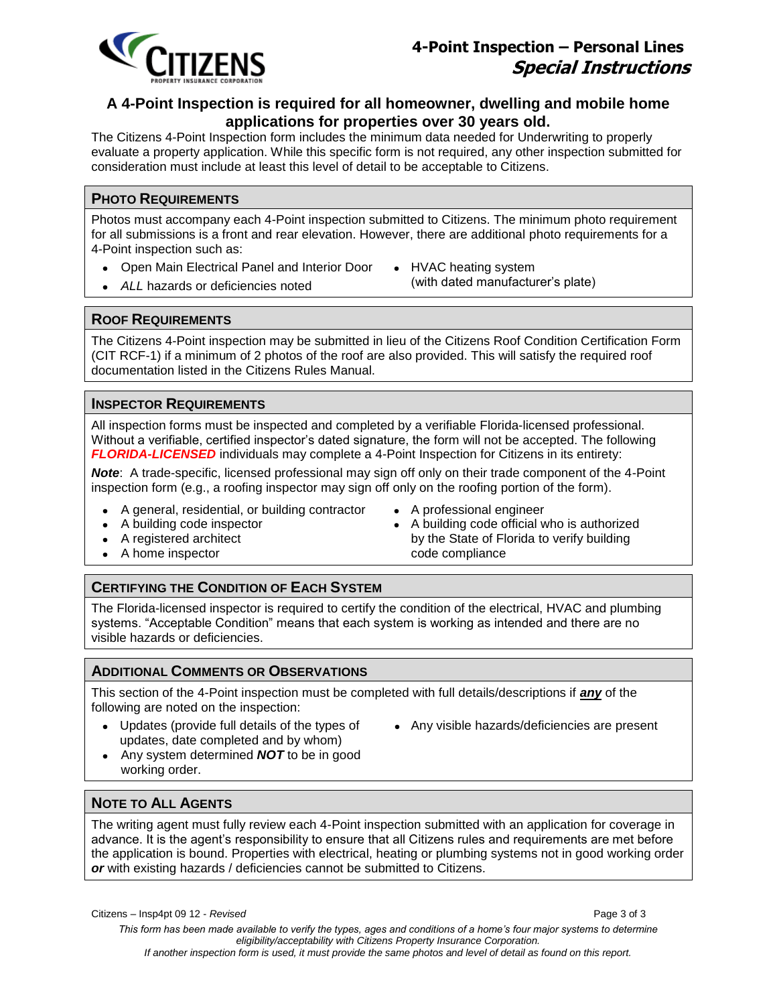

# **A 4-Point Inspection is required for all homeowner, dwelling and mobile home applications for properties over 30 years old.**

The Citizens 4-Point Inspection form includes the minimum data needed for Underwriting to properly evaluate a property application. While this specific form is not required, any other inspection submitted for consideration must include at least this level of detail to be acceptable to Citizens.

### **PHOTO REQUIREMENTS**

Photos must accompany each 4-Point inspection submitted to Citizens. The minimum photo requirement for all submissions is a front and rear elevation. However, there are additional photo requirements for a 4-Point inspection such as:

- Open Main Electrical Panel and Interior Door HVAC heating system
- ALL hazards or deficiencies noted **(with dated manufacturer's plate)**
- 

#### **ROOF REQUIREMENTS**

The Citizens 4-Point inspection may be submitted in lieu of the Citizens Roof Condition Certification Form (CIT RCF-1) if a minimum of 2 photos of the roof are also provided. This will satisfy the required roof documentation listed in the Citizens Rules Manual.

### **INSPECTOR REQUIREMENTS**

All inspection forms must be inspected and completed by a verifiable Florida-licensed professional. Without a verifiable, certified inspector's dated signature, the form will not be accepted. The following *FLORIDA-LICENSED* individuals may complete a 4-Point Inspection for Citizens in its entirety:

*Note*: A trade-specific, licensed professional may sign off only on their trade component of the 4-Point inspection form (e.g., a roofing inspector may sign off only on the roofing portion of the form).

- A general, residential, or building contractor
- A building code inspector
- A registered architect
- A home inspector
- A professional engineer
- A building code official who is authorized by the State of Florida to verify building code compliance

### **CERTIFYING THE CONDITION OF EACH SYSTEM**

The Florida-licensed inspector is required to certify the condition of the electrical, HVAC and plumbing systems. "Acceptable Condition" means that each system is working as intended and there are no visible hazards or deficiencies.

### **ADDITIONAL COMMENTS OR OBSERVATIONS**

This section of the 4-Point inspection must be completed with full details/descriptions if *any* of the following are noted on the inspection:

- Updates (provide full details of the types of updates, date completed and by whom)
	- Any visible hazards/deficiencies are present
- Any system determined *NOT* to be in good working order.

### **NOTE TO ALL AGENTS**

The writing agent must fully review each 4-Point inspection submitted with an application for coverage in advance. It is the agent's responsibility to ensure that all Citizens rules and requirements are met before the application is bound. Properties with electrical, heating or plumbing systems not in good working order *or* with existing hazards / deficiencies cannot be submitted to Citizens.

Citizens – Insp4pt 09 12 - *Revised* Page 3 of 3

*This form has been made available to verify the types, ages and conditions of a home's four major systems to determine eligibility/acceptability with Citizens Property Insurance Corporation. If another inspection form is used, it must provide the same photos and level of detail as found on this report.*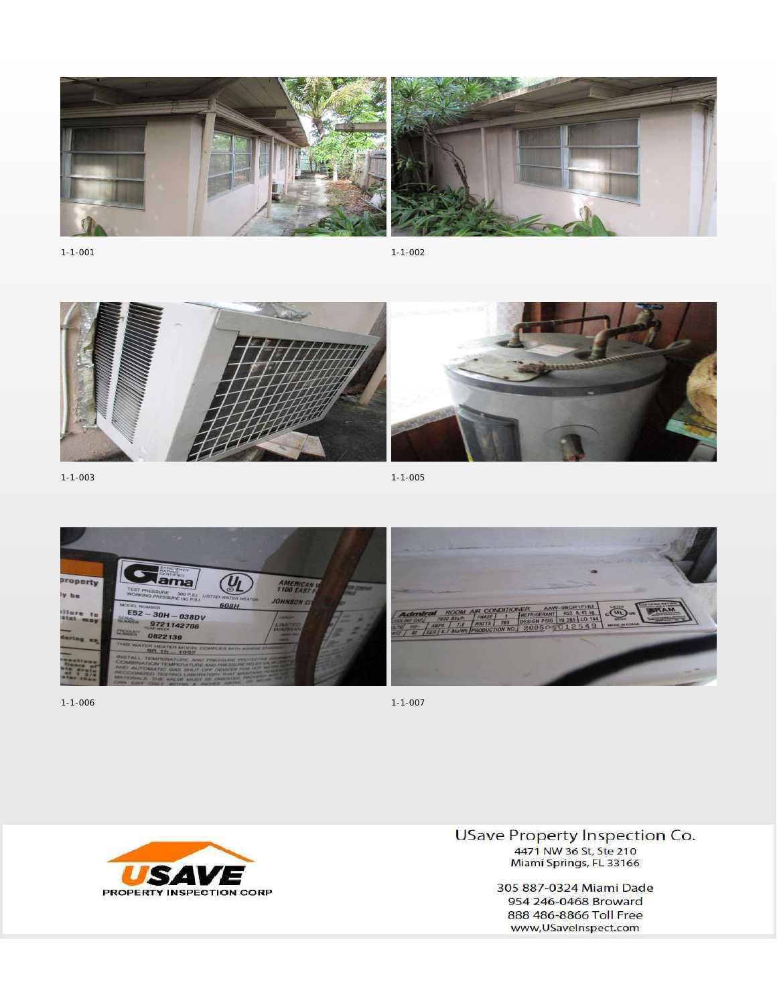

 $1 - 1 - 001$ 

 $1 - 1 - 002$ 



 $1 - 1 - 003$ 

 $1 - 1 - 005$ 



 $1 - 1 - 006$ 



 $1 - 1 - 007$ 



**USave Property Inspection Co.** 4471 NW 36 St, Ste 210 Miami Springs, FL 33166

> 305 887-0324 Miami Dade 954 246-0468 Broward 888 486-8866 Toll Free www,USaveInspect.com